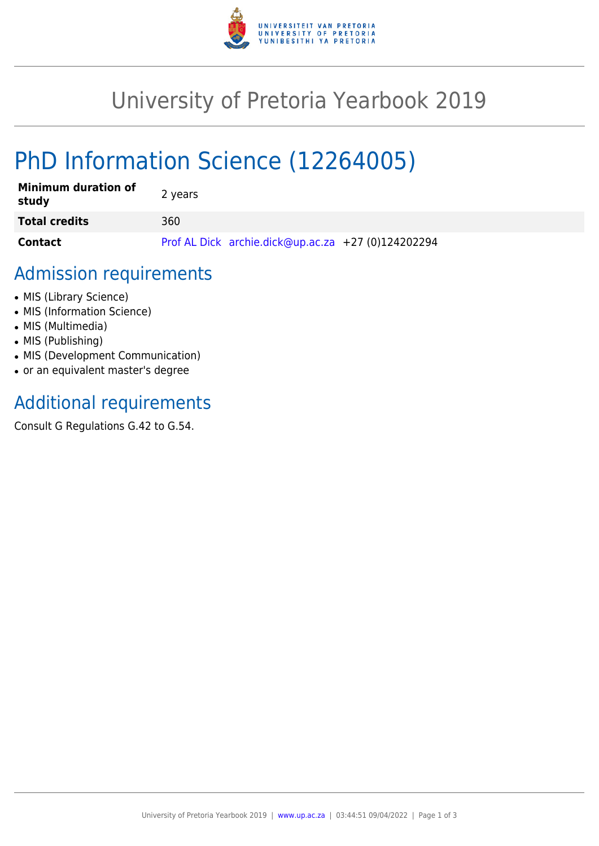

## University of Pretoria Yearbook 2019

# PhD Information Science (12264005)

| <b>Minimum duration of</b><br>study | 2 years                                            |
|-------------------------------------|----------------------------------------------------|
| <b>Total credits</b>                | 360                                                |
| Contact                             | Prof AL Dick archie.dick@up.ac.za +27 (0)124202294 |

#### Admission requirements

- MIS (Library Science)
- MIS (Information Science)
- MIS (Multimedia)
- MIS (Publishing)
- MIS (Development Communication)
- or an equivalent master's degree

## Additional requirements

Consult G Regulations G.42 to G.54.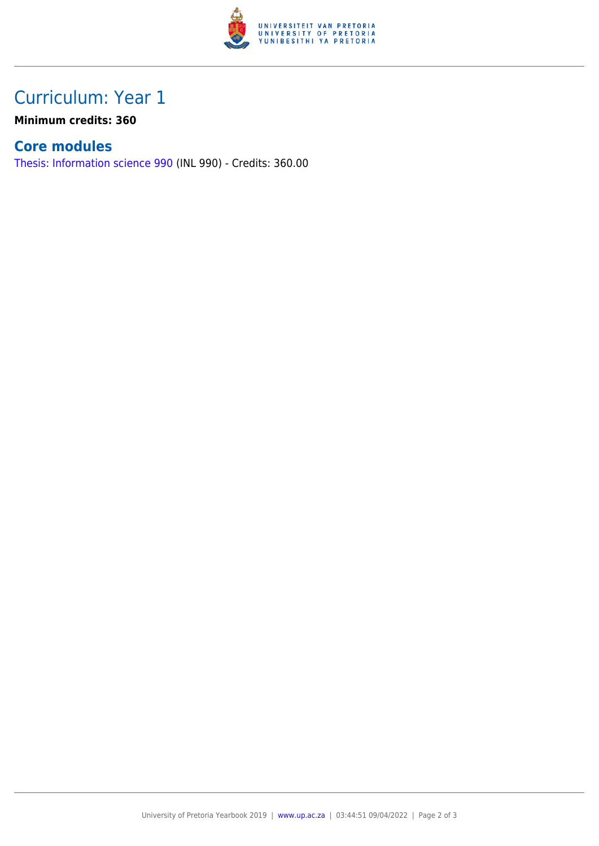

## Curriculum: Year 1

**Minimum credits: 360**

#### **Core modules**

[Thesis: Information science 990](https://www.up.ac.za/faculty-of-education/yearbooks/2019/modules/view/INL 990) (INL 990) - Credits: 360.00